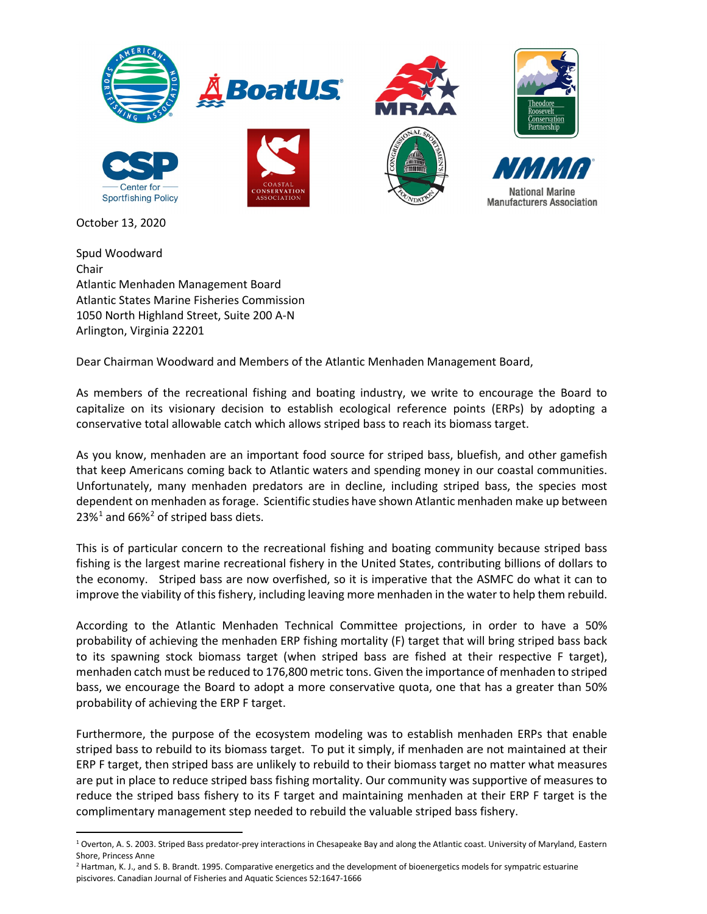

October 13, 2020

Spud Woodward Chair Atlantic Menhaden Management Board Atlantic States Marine Fisheries Commission 1050 North Highland Street, Suite 200 A-N Arlington, Virginia 22201

Dear Chairman Woodward and Members of the Atlantic Menhaden Management Board,

As members of the recreational fishing and boating industry, we write to encourage the Board to capitalize on its visionary decision to establish ecological reference points (ERPs) by adopting a conservative total allowable catch which allows striped bass to reach its biomass target.

As you know, menhaden are an important food source for striped bass, bluefish, and other gamefish that keep Americans coming back to Atlantic waters and spending money in our coastal communities. Unfortunately, many menhaden predators are in decline, including striped bass, the species most dependent on menhaden as forage. Scientific studies have shown Atlantic menhaden make up between  $23\%$ <sup>1</sup> and 66%<sup>2</sup> of striped bass diets.

This is of particular concern to the recreational fishing and boating community because striped bass fishing is the largest marine recreational fishery in the United States, contributing billions of dollars to the economy. Striped bass are now overfished, so it is imperative that the ASMFC do what it can to improve the viability of this fishery, including leaving more menhaden in the water to help them rebuild.

According to the Atlantic Menhaden Technical Committee projections, in order to have a 50% probability of achieving the menhaden ERP fishing mortality (F) target that will bring striped bass back to its spawning stock biomass target (when striped bass are fished at their respective F target), menhaden catch must be reduced to 176,800 metric tons. Given the importance of menhaden to striped bass, we encourage the Board to adopt a more conservative quota, one that has a greater than 50% probability of achieving the ERP F target.

Furthermore, the purpose of the ecosystem modeling was to establish menhaden ERPs that enable striped bass to rebuild to its biomass target. To put it simply, if menhaden are not maintained at their ERP F target, then striped bass are unlikely to rebuild to their biomass target no matter what measures are put in place to reduce striped bass fishing mortality. Our community was supportive of measures to reduce the striped bass fishery to its F target and maintaining menhaden at their ERP F target is the complimentary management step needed to rebuild the valuable striped bass fishery.

<sup>2</sup> Hartman, K. J., and S. B. Brandt. 1995. Comparative energetics and the development of bioenergetics models for sympatric estuarine piscivores. Canadian Journal of Fisheries and Aquatic Sciences 52:1647-1666

<sup>&</sup>lt;sup>1</sup> Overton, A. S. 2003. Striped Bass predator-prey interactions in Chesapeake Bay and along the Atlantic coast. University of Maryland, Eastern Shore, Princess Anne